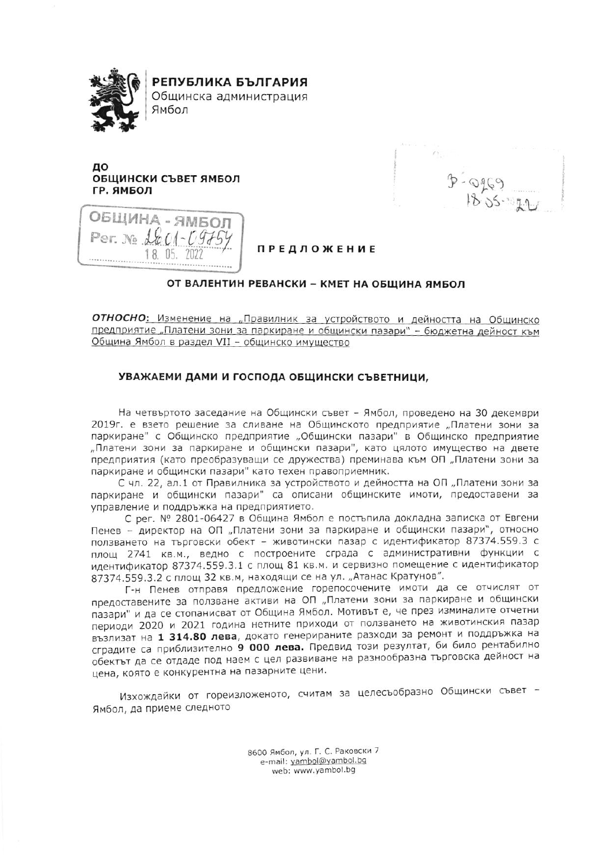

РЕПУБЛИКА БЪЛГАРИЯ

Общинска администрация Ямбол

## до ОБЩИНСКИ СЪВЕТ ЯМБОЛ ГР. ЯМБОЛ

ОБЩИНА - ЯМБОЛ  $2201 - 09$ 18.05.  $7027$ 

 $B - QQQ$ 

## **ПРЕДЛОЖЕНИЕ**

## ОТ ВАЛЕНТИН РЕВАНСКИ - КМЕТ НА ОБЩИНА ЯМБОЛ

ОТНОСНО: Изменение на "Правилник за устройството и дейността на Общинско предприятие "Платени зони за паркиране и общински пазари" - бюджетна дейност към Община Ямбол в раздел VII - общинско имущество

## УВАЖАЕМИ ДАМИ И ГОСПОДА ОБЩИНСКИ СЪВЕТНИЦИ,

На четвъртото заседание на Общински съвет - Ямбол, проведено на 30 декември 2019г. е взето решение за сливане на Общинското предприятие "Платени зони за паркиране" с Общинско предприятие "Общински пазари" в Общинско предприятие "Платени зони за паркиране и общински пазари", като цялото имущество на двете предприятия (като преобразуващи се дружества) преминава към ОП "Платени зони за паркиране и общински пазари" като техен правоприемник.

С чл. 22, ал.1 от Правилника за устройството и дейността на ОП "Платени зони за паркиране и общински пазари" са описани общинските имоти, предоставени за управление и поддръжка на предприятието.

С рег. № 2801-06427 в Община Ямбол е постъпила докладна записка от Евгени Пенев - директор на ОП "Платени зони за паркиране и общински пазари", относно ползването на търговски обект - животински пазар с идентификатор 87374.559.3 с площ 2741 кв.м., ведно с построените сграда с административни функции с идентификатор 87374.559.3.1 с площ 81 кв.м. и сервизно помещение с идентификатор 87374.559.3.2 с площ 32 кв.м, находящи се на ул. "Атанас Кратунов".

Г-н Пенев отправя предложение горепосочените имоти да се отчислят от предоставените за ползване активи на ОП "Платени зони за паркиране и общински пазари" и да се стопанисват от Община Ямбол. Мотивът е, че през изминалите отчетни периоди 2020 и 2021 година нетните приходи от ползването на животинския пазар възлизат на 1 314.80 лева, докато генерираните разходи за ремонт и поддръжка на сградите са приблизително 9 000 лева. Предвид този резултат, би било рентабилно обектът да се отдаде под наем с цел развиване на разнообразна търговска дейност на цена, която е конкурентна на пазарните цени.

Изхождайки от гореизложеното, считам за целесъобразно Общински съвет -Ямбол, да приеме следното

> 8600 Ямбол, ул. Г. С. Раковски 7 e-mail: yambol@yambol.bg web: www.yambol.bg